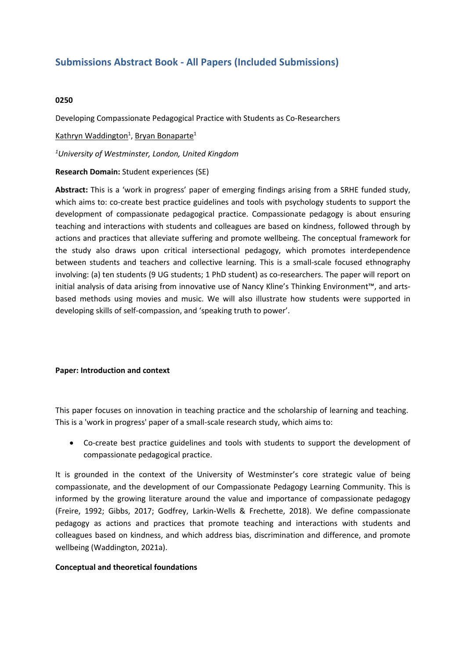# **Submissions Abstract Book - All Papers (Included Submissions)**

## **0250**

Developing Compassionate Pedagogical Practice with Students as Co-Researchers

Kathryn Waddington<sup>1</sup>, Bryan Bonaparte<sup>1</sup>

*1 University of Westminster, London, United Kingdom*

## **Research Domain:** Student experiences (SE)

**Abstract:** This is <sup>a</sup> 'work in progress' paper of emerging findings arising from <sup>a</sup> SRHE funded study, which aims to: co-create best practice guidelines and tools with psychology students to support the development of compassionate pedagogical practice. Compassionate pedagogy is about ensuring teaching and interactions with students and colleagues are based on kindness, followed through by actions and practices that alleviate suffering and promote wellbeing. The conceptual framework for the study also draws upon critical intersectional pedagogy, which promotes interdependence between students and teachers and collective learning. This is <sup>a</sup> small-scale focused ethnography involving: (a) ten students (9 UG students; 1 PhD student) as co-researchers. The paper will report on initial analysis of data arising from innovative use of Nancy Kline's Thinking Environment™, and artsbased methods using movies and music. We will also illustrate how students were supported in developing skills of self-compassion, and 'speaking truth to power'.

### **Paper: Introduction and context**

This paper focuses on innovation in teaching practice and the scholarship of learning and teaching. This is <sup>a</sup> 'work in progress' paper of <sup>a</sup> small-scale research study, which aims to:

 Co-create best practice guidelines and tools with students to support the development of compassionate pedagogical practice.

It is grounded in the context of the University of Westminster's core strategic value of being compassionate, and the development of our Compassionate Pedagogy Learning Community. This is informed by the growing literature around the value and importance of compassionate pedagogy (Freire, 1992; Gibbs, 2017; Godfrey, Larkin-Wells & Frechette, 2018). We define compassionate pedagogy as actions and practices that promote teaching and interactions with students and colleagues based on kindness, and which address bias, discrimination and difference, and promote wellbeing (Waddington, 2021a).

### **Conceptual and theoretical foundations**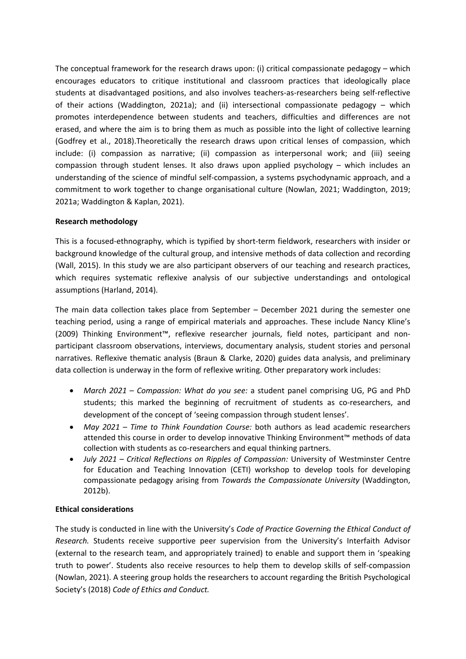The conceptual framework for the research draws upon: (i) critical compassionate pedagogy – which encourages educators to critique institutional and classroom practices that ideologically place students at disadvantaged positions, and also involves teachers-as-researchers being self-reflective of their actions (Waddington, 2021a); and (ii) intersectional compassionate pedagogy – which promotes interdependence between students and teachers, difficulties and differences are not erased, and where the aim is to bring them as much as possible into the light of collective learning (Godfrey et al., 2018).Theoretically the research draws upon critical lenses of compassion, which include: (i) compassion as narrative; (ii) compassion as interpersonal work; and (iii) seeing compassion through student lenses. It also draws upon applied psychology – which includes an understanding of the science of mindful self-compassion, <sup>a</sup> systems psychodynamic approach, and <sup>a</sup> commitment to work together to change organisational culture (Nowlan, 2021; Waddington, 2019; 2021a; Waddington & Kaplan, 2021).

## **Research methodology**

This is <sup>a</sup> focused-ethnography, which is typified by short-term fieldwork, researchers with insider or background knowledge of the cultural group, and intensive methods of data collection and recording (Wall, 2015). In this study we are also participant observers of our teaching and research practices, which requires systematic reflexive analysis of our subjective understandings and ontological assumptions (Harland, 2014).

The main data collection takes place from September – December 2021 during the semester one teaching period, using <sup>a</sup> range of empirical materials and approaches. These include Nancy Kline's (2009) Thinking Environment™, reflexive researcher journals, field notes, participant and nonparticipant classroom observations, interviews, documentary analysis, student stories and personal narratives. Reflexive thematic analysis (Braun & Clarke, 2020) guides data analysis, and preliminary data collection is underway in the form of reflexive writing. Other preparatory work includes:

- *March 2021 Compassion: What do you see:* <sup>a</sup> student panel comprising UG, PG and PhD students; this marked the beginning of recruitment of students as co-researchers, and development of the concept of 'seeing compassion through student lenses'.
- *May 2021 Time to Think Foundation Course:* both authors as lead academic researchers attended this course in order to develop innovative Thinking Environment™ methods of data collection with students as co-researchers and equal thinking partners.
- *July 2021 Critical Reflections on Ripples of Compassion:* University of Westminster Centre for Education and Teaching Innovation (CETI) workshop to develop tools for developing compassionate pedagogy arising from *Towards the Compassionate University* (Waddington, 2012b).

# **Ethical considerations**

The study is conducted in line with the University's *Code of Practice Governing the Ethical Conduct of Research.* Students receive supportive peer supervision from the University's Interfaith Advisor (external to the research team, and appropriately trained) to enable and support them in 'speaking truth to power'. Students also receive resources to help them to develop skills of self-compassion (Nowlan, 2021). A steering group holds the researchers to account regarding the British Psychological Society's (2018) *Code of Ethics and Conduct.*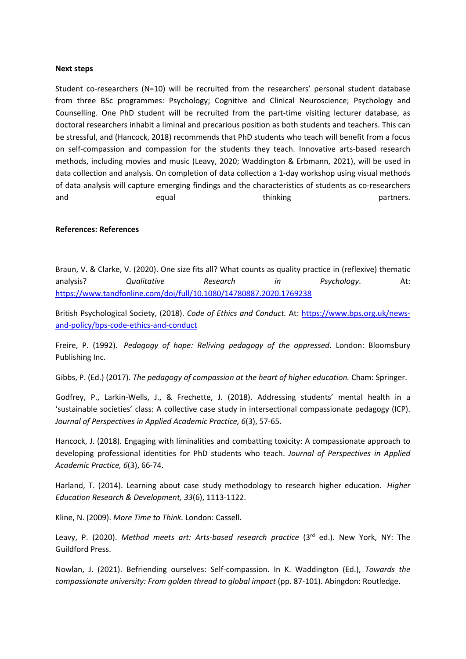#### **Next steps**

Student co-researchers (N=10) will be recruited from the researchers' personal student database from three BSc programmes: Psychology; Cognitive and Clinical Neuroscience; Psychology and Counselling. One PhD student will be recruited from the part-time visiting lecturer database, as doctoral researchers inhabit <sup>a</sup> liminal and precarious position as both students and teachers. This can be stressful, and (Hancock, 2018) recommends that PhD students who teach will benefit from <sup>a</sup> focus on self-compassion and compassion for the students they teach. Innovative arts-based research methods, including movies and music (Leavy, 2020; Waddington & Erbmann, 2021), will be used in data collection and analysis. On completion of data collection <sup>a</sup> 1-day workshop using visual methods of data analysis will capture emerging findings and the characteristics of students as co-researchers and equal equal thinking the partners.

#### **References: References**

Braun, V. & Clarke, V. (2020). One size fits all? What counts as quality practice in (reflexive) thematic analysis? *Qualitative Research in Psychology*. At: <https://www.tandfonline.com/doi/full/10.1080/14780887.2020.1769238>

British Psychological Society, (2018). *Code of Ethics and Conduct.* At: [https://www.bps.org.uk/news](https://www.bps.org.uk/news-and-policy/bps-code-ethics-and-conduct)[and-policy/bps-code-ethics-and-conduct](https://www.bps.org.uk/news-and-policy/bps-code-ethics-and-conduct)

Freire, P. (1992). *Pedagogy of hope: Reliving pedagogy of the oppressed*. London: Bloomsbury Publishing Inc.

Gibbs, P. (Ed.) (2017). *The pedagogy of compassion at the heart of higher education.* Cham: Springer.

Godfrey, P., Larkin-Wells, J., & Frechette, J. (2018). Addressing students' mental health in <sup>a</sup> 'sustainable societies' class: A collective case study in intersectional compassionate pedagogy (ICP). *Journal of Perspectives in Applied Academic Practice, 6*(3), 57-65.

Hancock, J. (2018). Engaging with liminalities and combatting toxicity: A compassionate approach to developing professional identities for PhD students who teach. *Journal of Perspectives in Applied Academic Practice, 6*(3), 66-74.

Harland, T. (2014). Learning about case study methodology to research higher education. *Higher Education Research & Development, 33*(6), 1113-1122.

Kline, N. (2009). *More Time to Think.* London: Cassell.

Leavy, P. (2020). *Method meets art: Arts-based research practice* (3rd ed.). New York, NY: The Guildford Press.

Nowlan, J. (2021). Befriending ourselves: Self-compassion. In K. Waddington (Ed.), *Towards the compassionate university: From golden thread to global impact* (pp. 87-101). Abingdon: Routledge.